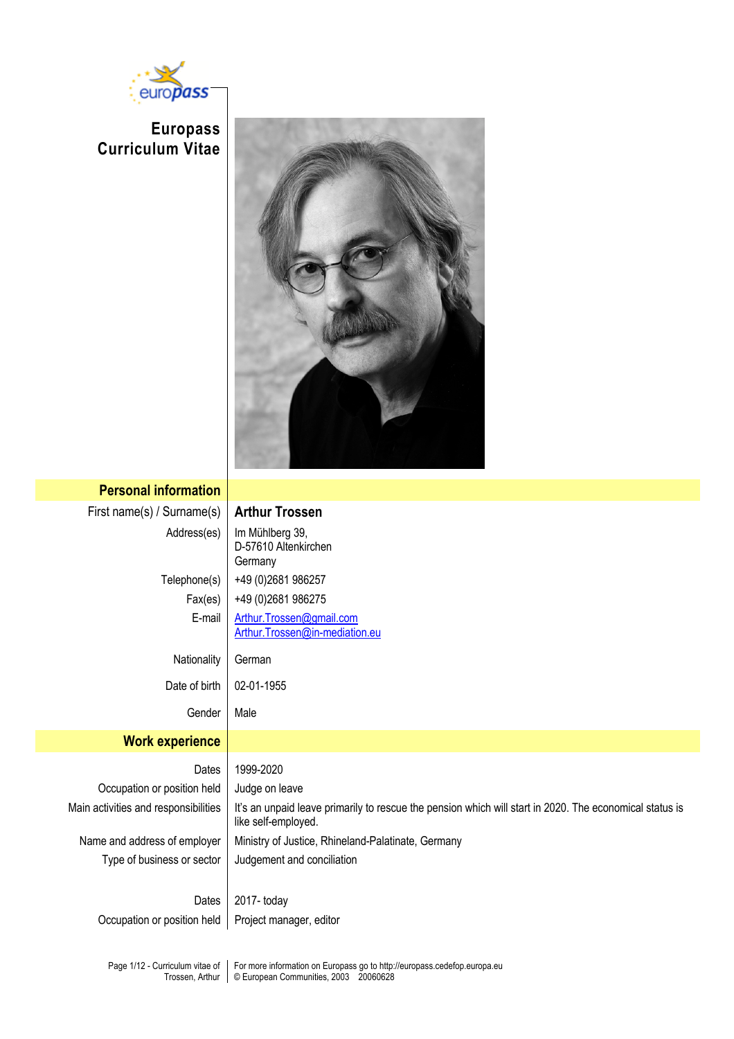

**Europass Curriculum Vitae**



| <b>Personal information</b>          |                                                                                                                                |
|--------------------------------------|--------------------------------------------------------------------------------------------------------------------------------|
| First name(s) / Surname(s)           | <b>Arthur Trossen</b>                                                                                                          |
| Address(es)                          | Im Mühlberg 39,<br>D-57610 Altenkirchen<br>Germany                                                                             |
| Telephone(s)                         | +49 (0) 2681 986257                                                                                                            |
| Fax(es)                              | +49 (0) 2681 986275                                                                                                            |
| E-mail                               | Arthur.Trossen@gmail.com<br>Arthur.Trossen@in-mediation.eu                                                                     |
| Nationality                          | German                                                                                                                         |
| Date of birth                        | 02-01-1955                                                                                                                     |
| Gender                               | Male                                                                                                                           |
| <b>Work experience</b>               |                                                                                                                                |
| Dates                                | 1999-2020                                                                                                                      |
| Occupation or position held          | Judge on leave                                                                                                                 |
| Main activities and responsibilities | It's an unpaid leave primarily to rescue the pension which will start in 2020. The economical status is<br>like self-employed. |
| Name and address of employer         | Ministry of Justice, Rhineland-Palatinate, Germany                                                                             |
| Type of business or sector           | Judgement and conciliation                                                                                                     |
| Dates                                | 2017-today                                                                                                                     |
| Occupation or position held          | Project manager, editor                                                                                                        |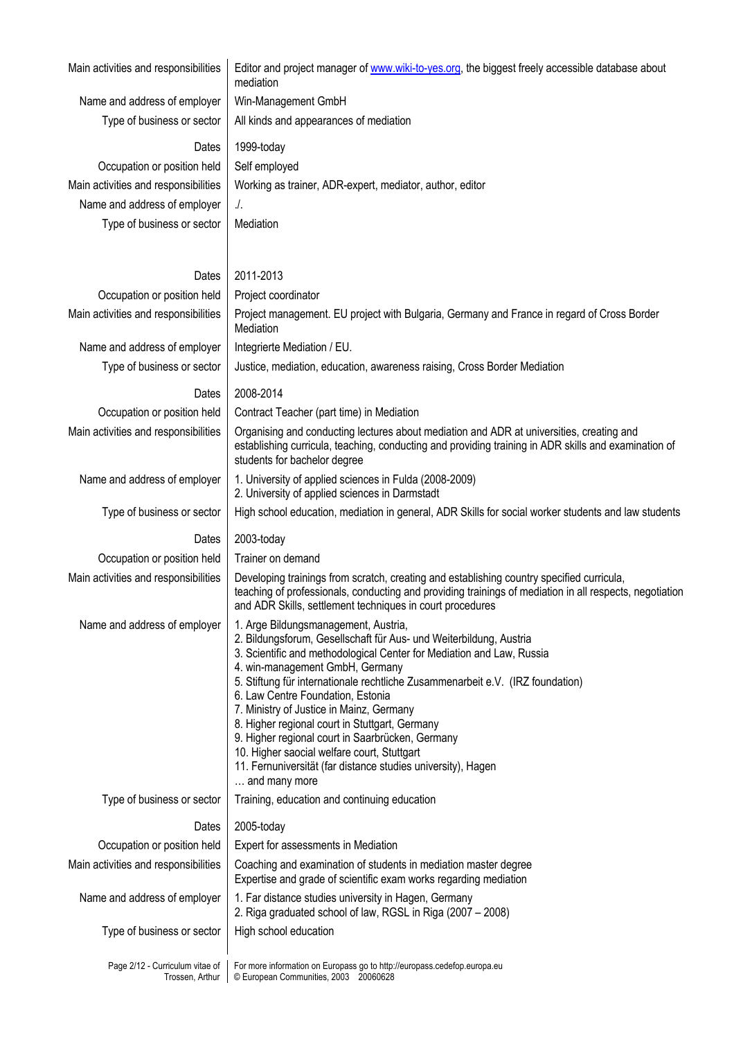Name and address of employer  $\vert$  Win-Management GmbH Type of business or sector  $\parallel$  All kinds and appearances of mediation

Main activities and responsibilities | Editor and project manager of www.wiki-to-yes.org, the biggest freely accessible database about mediation

Occupation or position held | Self employed Name and address of employer | ./. Type of business or sector | Mediation

Dates 1999-today Main activities and responsibilities  $\parallel$  Working as trainer, ADR-expert, mediator, author, editor

## Dates | 2011-2013

| Occupation or position held                        | Project coordinator                                                                                                                                                                                                                                                                                                                                                                                                                                                                                                                                                                                                             |
|----------------------------------------------------|---------------------------------------------------------------------------------------------------------------------------------------------------------------------------------------------------------------------------------------------------------------------------------------------------------------------------------------------------------------------------------------------------------------------------------------------------------------------------------------------------------------------------------------------------------------------------------------------------------------------------------|
| Main activities and responsibilities               | Project management. EU project with Bulgaria, Germany and France in regard of Cross Border<br>Mediation                                                                                                                                                                                                                                                                                                                                                                                                                                                                                                                         |
| Name and address of employer                       | Integrierte Mediation / EU.                                                                                                                                                                                                                                                                                                                                                                                                                                                                                                                                                                                                     |
| Type of business or sector                         | Justice, mediation, education, awareness raising, Cross Border Mediation                                                                                                                                                                                                                                                                                                                                                                                                                                                                                                                                                        |
| Dates                                              | 2008-2014                                                                                                                                                                                                                                                                                                                                                                                                                                                                                                                                                                                                                       |
| Occupation or position held                        | Contract Teacher (part time) in Mediation                                                                                                                                                                                                                                                                                                                                                                                                                                                                                                                                                                                       |
| Main activities and responsibilities               | Organising and conducting lectures about mediation and ADR at universities, creating and<br>establishing curricula, teaching, conducting and providing training in ADR skills and examination of<br>students for bachelor degree                                                                                                                                                                                                                                                                                                                                                                                                |
| Name and address of employer                       | 1. University of applied sciences in Fulda (2008-2009)<br>2. University of applied sciences in Darmstadt                                                                                                                                                                                                                                                                                                                                                                                                                                                                                                                        |
| Type of business or sector                         | High school education, mediation in general, ADR Skills for social worker students and law students                                                                                                                                                                                                                                                                                                                                                                                                                                                                                                                             |
| Dates                                              | 2003-today                                                                                                                                                                                                                                                                                                                                                                                                                                                                                                                                                                                                                      |
| Occupation or position held                        | Trainer on demand                                                                                                                                                                                                                                                                                                                                                                                                                                                                                                                                                                                                               |
| Main activities and responsibilities               | Developing trainings from scratch, creating and establishing country specified curricula,<br>teaching of professionals, conducting and providing trainings of mediation in all respects, negotiation<br>and ADR Skills, settlement techniques in court procedures                                                                                                                                                                                                                                                                                                                                                               |
| Name and address of employer                       | 1. Arge Bildungsmanagement, Austria,<br>2. Bildungsforum, Gesellschaft für Aus- und Weiterbildung, Austria<br>3. Scientific and methodological Center for Mediation and Law, Russia<br>4. win-management GmbH, Germany<br>5. Stiftung für internationale rechtliche Zusammenarbeit e.V. (IRZ foundation)<br>6. Law Centre Foundation, Estonia<br>7. Ministry of Justice in Mainz, Germany<br>8. Higher regional court in Stuttgart, Germany<br>9. Higher regional court in Saarbrücken, Germany<br>10. Higher saocial welfare court, Stuttgart<br>11. Fernuniversität (far distance studies university), Hagen<br>and many more |
| Type of business or sector                         | Training, education and continuing education                                                                                                                                                                                                                                                                                                                                                                                                                                                                                                                                                                                    |
| Dates                                              | 2005-today                                                                                                                                                                                                                                                                                                                                                                                                                                                                                                                                                                                                                      |
| Occupation or position held                        | Expert for assessments in Mediation                                                                                                                                                                                                                                                                                                                                                                                                                                                                                                                                                                                             |
| Main activities and responsibilities               | Coaching and examination of students in mediation master degree<br>Expertise and grade of scientific exam works regarding mediation                                                                                                                                                                                                                                                                                                                                                                                                                                                                                             |
| Name and address of employer                       | 1. Far distance studies university in Hagen, Germany<br>2. Riga graduated school of law, RGSL in Riga (2007 - 2008)                                                                                                                                                                                                                                                                                                                                                                                                                                                                                                             |
| Type of business or sector                         | High school education                                                                                                                                                                                                                                                                                                                                                                                                                                                                                                                                                                                                           |
| Page 2/12 - Curriculum vitae of<br>Trossen, Arthur | For more information on Europass go to http://europass.cedefop.europa.eu<br>© European Communities, 2003 20060628                                                                                                                                                                                                                                                                                                                                                                                                                                                                                                               |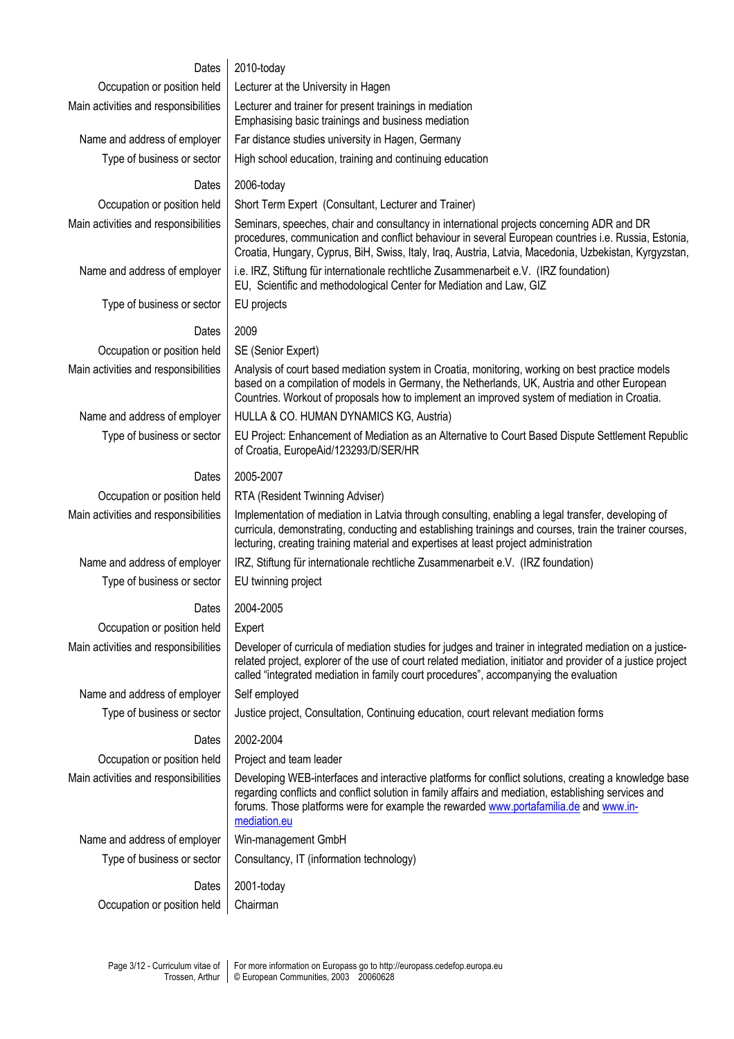| Dates                                | 2010-today                                                                                                                                                                                                                                                                                                             |
|--------------------------------------|------------------------------------------------------------------------------------------------------------------------------------------------------------------------------------------------------------------------------------------------------------------------------------------------------------------------|
| Occupation or position held          | Lecturer at the University in Hagen                                                                                                                                                                                                                                                                                    |
| Main activities and responsibilities | Lecturer and trainer for present trainings in mediation<br>Emphasising basic trainings and business mediation                                                                                                                                                                                                          |
| Name and address of employer         | Far distance studies university in Hagen, Germany                                                                                                                                                                                                                                                                      |
| Type of business or sector           | High school education, training and continuing education                                                                                                                                                                                                                                                               |
| Dates                                | 2006-today                                                                                                                                                                                                                                                                                                             |
| Occupation or position held          | Short Term Expert (Consultant, Lecturer and Trainer)                                                                                                                                                                                                                                                                   |
| Main activities and responsibilities | Seminars, speeches, chair and consultancy in international projects concerning ADR and DR<br>procedures, communication and conflict behaviour in several European countries i.e. Russia, Estonia,<br>Croatia, Hungary, Cyprus, BiH, Swiss, Italy, Iraq, Austria, Latvia, Macedonia, Uzbekistan, Kyrgyzstan,            |
| Name and address of employer         | i.e. IRZ, Stiftung für internationale rechtliche Zusammenarbeit e.V. (IRZ foundation)<br>EU, Scientific and methodological Center for Mediation and Law, GIZ                                                                                                                                                           |
| Type of business or sector           | EU projects                                                                                                                                                                                                                                                                                                            |
| Dates                                | 2009                                                                                                                                                                                                                                                                                                                   |
| Occupation or position held          | SE (Senior Expert)                                                                                                                                                                                                                                                                                                     |
| Main activities and responsibilities | Analysis of court based mediation system in Croatia, monitoring, working on best practice models<br>based on a compilation of models in Germany, the Netherlands, UK, Austria and other European<br>Countries. Workout of proposals how to implement an improved system of mediation in Croatia.                       |
| Name and address of employer         | HULLA & CO. HUMAN DYNAMICS KG, Austria)                                                                                                                                                                                                                                                                                |
| Type of business or sector           | EU Project: Enhancement of Mediation as an Alternative to Court Based Dispute Settlement Republic<br>of Croatia, EuropeAid/123293/D/SER/HR                                                                                                                                                                             |
| Dates                                | 2005-2007                                                                                                                                                                                                                                                                                                              |
| Occupation or position held          | RTA (Resident Twinning Adviser)                                                                                                                                                                                                                                                                                        |
| Main activities and responsibilities | Implementation of mediation in Latvia through consulting, enabling a legal transfer, developing of<br>curricula, demonstrating, conducting and establishing trainings and courses, train the trainer courses,<br>lecturing, creating training material and expertises at least project administration                  |
| Name and address of employer         | IRZ, Stiftung für internationale rechtliche Zusammenarbeit e.V. (IRZ foundation)                                                                                                                                                                                                                                       |
| Type of business or sector           | EU twinning project                                                                                                                                                                                                                                                                                                    |
| Dates $\parallel$                    | 2004-2005                                                                                                                                                                                                                                                                                                              |
| Occupation or position held          | Expert                                                                                                                                                                                                                                                                                                                 |
| Main activities and responsibilities | Developer of curricula of mediation studies for judges and trainer in integrated mediation on a justice-<br>related project, explorer of the use of court related mediation, initiator and provider of a justice project<br>called "integrated mediation in family court procedures", accompanying the evaluation      |
| Name and address of employer         | Self employed                                                                                                                                                                                                                                                                                                          |
| Type of business or sector           | Justice project, Consultation, Continuing education, court relevant mediation forms                                                                                                                                                                                                                                    |
| Dates                                | 2002-2004                                                                                                                                                                                                                                                                                                              |
| Occupation or position held          | Project and team leader                                                                                                                                                                                                                                                                                                |
| Main activities and responsibilities | Developing WEB-interfaces and interactive platforms for conflict solutions, creating a knowledge base<br>regarding conflicts and conflict solution in family affairs and mediation, establishing services and<br>forums. Those platforms were for example the rewarded www.portafamilia.de and www.in-<br>mediation.eu |
| Name and address of employer         | Win-management GmbH                                                                                                                                                                                                                                                                                                    |
| Type of business or sector           | Consultancy, IT (information technology)                                                                                                                                                                                                                                                                               |
| Dates                                | 2001-today                                                                                                                                                                                                                                                                                                             |
| Occupation or position held          | Chairman                                                                                                                                                                                                                                                                                                               |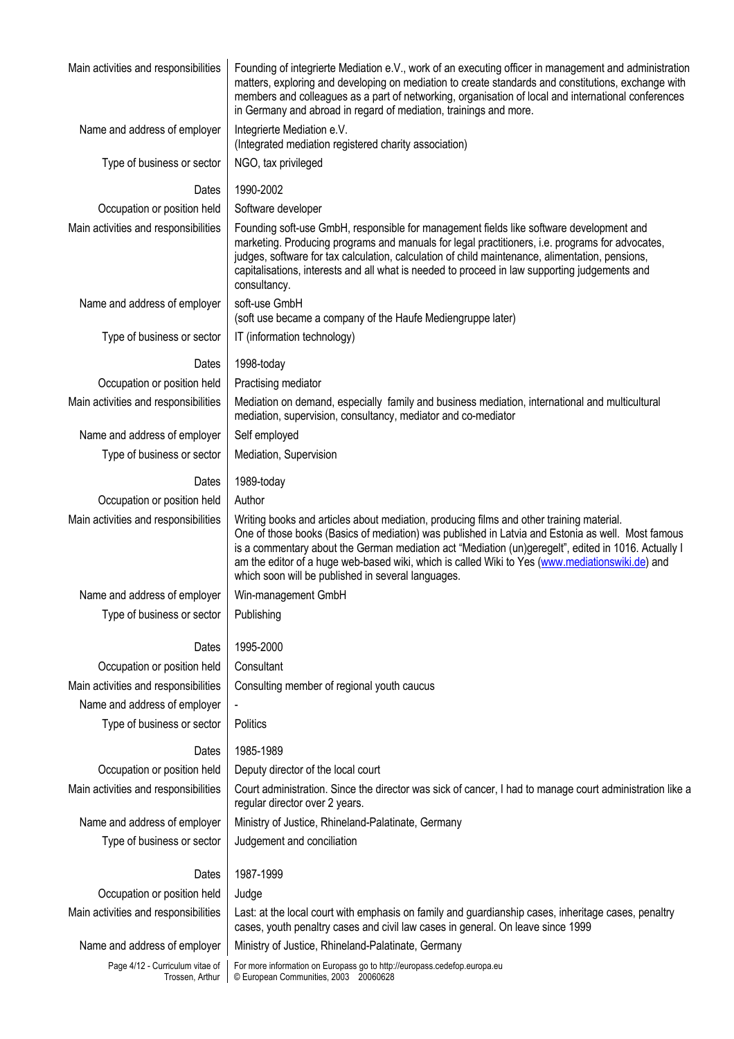| Main activities and responsibilities               | Founding of integrierte Mediation e.V., work of an executing officer in management and administration<br>matters, exploring and developing on mediation to create standards and constitutions, exchange with<br>members and colleagues as a part of networking, organisation of local and international conferences<br>in Germany and abroad in regard of mediation, trainings and more.                                                                      |
|----------------------------------------------------|---------------------------------------------------------------------------------------------------------------------------------------------------------------------------------------------------------------------------------------------------------------------------------------------------------------------------------------------------------------------------------------------------------------------------------------------------------------|
| Name and address of employer                       | Integrierte Mediation e.V.<br>(Integrated mediation registered charity association)                                                                                                                                                                                                                                                                                                                                                                           |
| Type of business or sector                         | NGO, tax privileged                                                                                                                                                                                                                                                                                                                                                                                                                                           |
| Dates                                              | 1990-2002                                                                                                                                                                                                                                                                                                                                                                                                                                                     |
| Occupation or position held                        | Software developer                                                                                                                                                                                                                                                                                                                                                                                                                                            |
| Main activities and responsibilities               | Founding soft-use GmbH, responsible for management fields like software development and<br>marketing. Producing programs and manuals for legal practitioners, i.e. programs for advocates,<br>judges, software for tax calculation, calculation of child maintenance, alimentation, pensions,<br>capitalisations, interests and all what is needed to proceed in law supporting judgements and<br>consultancy.                                                |
| Name and address of employer                       | soft-use GmbH<br>(soft use became a company of the Haufe Mediengruppe later)                                                                                                                                                                                                                                                                                                                                                                                  |
| Type of business or sector                         | IT (information technology)                                                                                                                                                                                                                                                                                                                                                                                                                                   |
| Dates                                              | 1998-today                                                                                                                                                                                                                                                                                                                                                                                                                                                    |
| Occupation or position held                        | Practising mediator                                                                                                                                                                                                                                                                                                                                                                                                                                           |
| Main activities and responsibilities               | Mediation on demand, especially family and business mediation, international and multicultural<br>mediation, supervision, consultancy, mediator and co-mediator                                                                                                                                                                                                                                                                                               |
| Name and address of employer                       | Self employed                                                                                                                                                                                                                                                                                                                                                                                                                                                 |
| Type of business or sector                         | Mediation, Supervision                                                                                                                                                                                                                                                                                                                                                                                                                                        |
| Dates                                              | 1989-today                                                                                                                                                                                                                                                                                                                                                                                                                                                    |
| Occupation or position held                        | Author                                                                                                                                                                                                                                                                                                                                                                                                                                                        |
| Main activities and responsibilities               | Writing books and articles about mediation, producing films and other training material.<br>One of those books (Basics of mediation) was published in Latvia and Estonia as well. Most famous<br>is a commentary about the German mediation act "Mediation (un)geregelt", edited in 1016. Actually I<br>am the editor of a huge web-based wiki, which is called Wiki to Yes (www.mediationswiki.de) and<br>which soon will be published in several languages. |
| Name and address of employer                       | Win-management GmbH                                                                                                                                                                                                                                                                                                                                                                                                                                           |
| Type of business or sector                         | Publishing                                                                                                                                                                                                                                                                                                                                                                                                                                                    |
| Dates                                              | 1995-2000                                                                                                                                                                                                                                                                                                                                                                                                                                                     |
| Occupation or position held                        | Consultant                                                                                                                                                                                                                                                                                                                                                                                                                                                    |
| Main activities and responsibilities               | Consulting member of regional youth caucus                                                                                                                                                                                                                                                                                                                                                                                                                    |
| Name and address of employer                       |                                                                                                                                                                                                                                                                                                                                                                                                                                                               |
| Type of business or sector                         | Politics                                                                                                                                                                                                                                                                                                                                                                                                                                                      |
| Dates                                              | 1985-1989                                                                                                                                                                                                                                                                                                                                                                                                                                                     |
| Occupation or position held                        | Deputy director of the local court                                                                                                                                                                                                                                                                                                                                                                                                                            |
| Main activities and responsibilities               | Court administration. Since the director was sick of cancer, I had to manage court administration like a<br>regular director over 2 years.                                                                                                                                                                                                                                                                                                                    |
| Name and address of employer                       | Ministry of Justice, Rhineland-Palatinate, Germany                                                                                                                                                                                                                                                                                                                                                                                                            |
| Type of business or sector                         | Judgement and conciliation                                                                                                                                                                                                                                                                                                                                                                                                                                    |
| Dates                                              | 1987-1999                                                                                                                                                                                                                                                                                                                                                                                                                                                     |
| Occupation or position held                        | Judge                                                                                                                                                                                                                                                                                                                                                                                                                                                         |
| Main activities and responsibilities               | Last: at the local court with emphasis on family and guardianship cases, inheritage cases, penaltry<br>cases, youth penaltry cases and civil law cases in general. On leave since 1999                                                                                                                                                                                                                                                                        |
| Name and address of employer                       | Ministry of Justice, Rhineland-Palatinate, Germany                                                                                                                                                                                                                                                                                                                                                                                                            |
| Page 4/12 - Curriculum vitae of<br>Trossen, Arthur | For more information on Europass go to http://europass.cedefop.europa.eu<br>© European Communities, 2003 20060628                                                                                                                                                                                                                                                                                                                                             |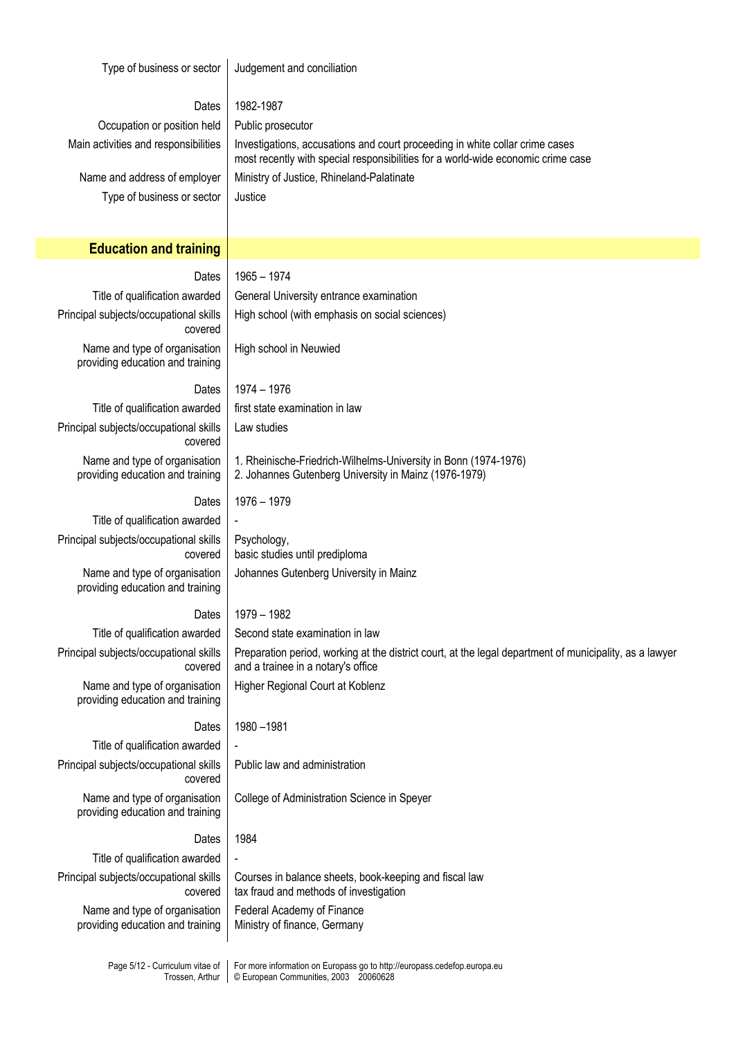| Type of business or sector                                                   | Judgement and conciliation                                                                                                                                       |
|------------------------------------------------------------------------------|------------------------------------------------------------------------------------------------------------------------------------------------------------------|
| Dates                                                                        | 1982-1987                                                                                                                                                        |
| Occupation or position held                                                  | Public prosecutor                                                                                                                                                |
| Main activities and responsibilities                                         | Investigations, accusations and court proceeding in white collar crime cases<br>most recently with special responsibilities for a world-wide economic crime case |
| Name and address of employer                                                 | Ministry of Justice, Rhineland-Palatinate                                                                                                                        |
| Type of business or sector                                                   | Justice                                                                                                                                                          |
|                                                                              |                                                                                                                                                                  |
| <b>Education and training</b>                                                |                                                                                                                                                                  |
| Dates                                                                        | $1965 - 1974$                                                                                                                                                    |
| Title of qualification awarded                                               | General University entrance examination                                                                                                                          |
| Principal subjects/occupational skills                                       | High school (with emphasis on social sciences)                                                                                                                   |
| covered<br>Name and type of organisation<br>providing education and training | High school in Neuwied                                                                                                                                           |
|                                                                              |                                                                                                                                                                  |
| Dates<br>Title of qualification awarded                                      | 1974 - 1976<br>first state examination in law                                                                                                                    |
| Principal subjects/occupational skills                                       | Law studies                                                                                                                                                      |
| covered                                                                      |                                                                                                                                                                  |
| Name and type of organisation<br>providing education and training            | 1. Rheinische-Friedrich-Wilhelms-University in Bonn (1974-1976)<br>2. Johannes Gutenberg University in Mainz (1976-1979)                                         |
| Dates                                                                        | 1976 - 1979                                                                                                                                                      |
| Title of qualification awarded                                               |                                                                                                                                                                  |
| Principal subjects/occupational skills<br>covered                            | Psychology,<br>basic studies until prediploma                                                                                                                    |
| Name and type of organisation<br>providing education and training            | Johannes Gutenberg University in Mainz                                                                                                                           |
| Dates                                                                        | 1979 - 1982                                                                                                                                                      |
| Title of qualification awarded                                               | Second state examination in law                                                                                                                                  |
| Principal subjects/occupational skills<br>covered                            | Preparation period, working at the district court, at the legal department of municipality, as a lawyer<br>and a trainee in a notary's office                    |
| Name and type of organisation<br>providing education and training            | Higher Regional Court at Koblenz                                                                                                                                 |
| Dates                                                                        | 1980-1981                                                                                                                                                        |
| Title of qualification awarded                                               |                                                                                                                                                                  |
| Principal subjects/occupational skills<br>covered                            | Public law and administration                                                                                                                                    |
| Name and type of organisation<br>providing education and training            | College of Administration Science in Speyer                                                                                                                      |
| Dates                                                                        | 1984                                                                                                                                                             |
| Title of qualification awarded                                               |                                                                                                                                                                  |
| Principal subjects/occupational skills<br>covered                            | Courses in balance sheets, book-keeping and fiscal law<br>tax fraud and methods of investigation                                                                 |
| Name and type of organisation<br>providing education and training            | Federal Academy of Finance<br>Ministry of finance, Germany                                                                                                       |
| Page 5/12 - Curriculum vitae of<br>Trossen, Arthur                           | For more information on Europass go to http://europass.cedefop.europa.eu<br>© European Communities, 2003 20060628                                                |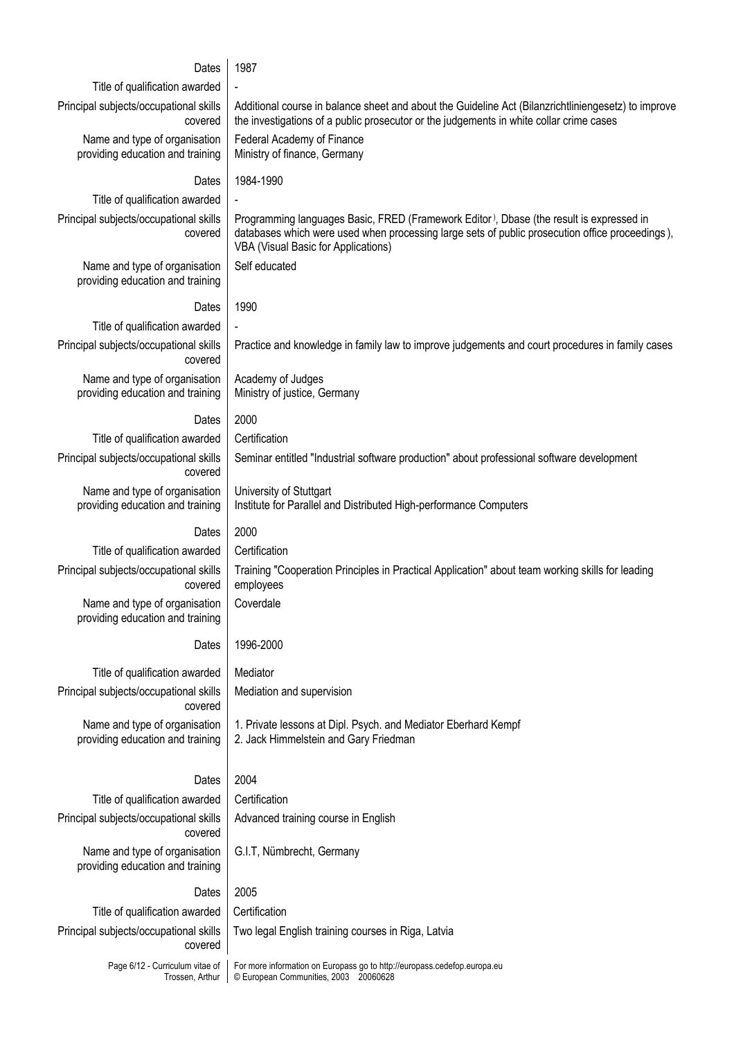| Dates                                                             | 1987                                                                                                                                                                                                                              |
|-------------------------------------------------------------------|-----------------------------------------------------------------------------------------------------------------------------------------------------------------------------------------------------------------------------------|
| Title of qualification awarded                                    |                                                                                                                                                                                                                                   |
| Principal subjects/occupational skills<br>covered                 | Additional course in balance sheet and about the Guideline Act (Bilanzrichtliniengesetz) to improve<br>the investigations of a public prosecutor or the judgements in white collar crime cases                                    |
| Name and type of organisation<br>providing education and training | Federal Academy of Finance<br>Ministry of finance, Germany                                                                                                                                                                        |
| Dates                                                             | 1984-1990                                                                                                                                                                                                                         |
| Title of qualification awarded                                    |                                                                                                                                                                                                                                   |
| Principal subjects/occupational skills<br>covered                 | Programming languages Basic, FRED (Framework Editor), Dbase (the result is expressed in<br>databases which were used when processing large sets of public prosecution office proceedings),<br>VBA (Visual Basic for Applications) |
| Name and type of organisation<br>providing education and training | Self educated                                                                                                                                                                                                                     |
| Dates                                                             | 1990                                                                                                                                                                                                                              |
| Title of qualification awarded                                    |                                                                                                                                                                                                                                   |
| Principal subjects/occupational skills<br>covered                 | Practice and knowledge in family law to improve judgements and court procedures in family cases                                                                                                                                   |
| Name and type of organisation<br>providing education and training | Academy of Judges<br>Ministry of justice, Germany                                                                                                                                                                                 |
| Dates                                                             | 2000                                                                                                                                                                                                                              |
| Title of qualification awarded                                    | Certification                                                                                                                                                                                                                     |
| Principal subjects/occupational skills<br>covered                 | Seminar entitled "Industrial software production" about professional software development                                                                                                                                         |
| Name and type of organisation<br>providing education and training | University of Stuttgart<br>Institute for Parallel and Distributed High-performance Computers                                                                                                                                      |
| Dates                                                             | 2000                                                                                                                                                                                                                              |
| Title of qualification awarded                                    | Certification                                                                                                                                                                                                                     |
| Principal subjects/occupational skills<br>covered                 | Training "Cooperation Principles in Practical Application" about team working skills for leading<br>employees                                                                                                                     |
| Name and type of organisation<br>providing education and training | Coverdale                                                                                                                                                                                                                         |
| Dates                                                             | 1996-2000                                                                                                                                                                                                                         |
| Title of qualification awarded                                    | Mediator                                                                                                                                                                                                                          |
| Principal subjects/occupational skills<br>covered                 | Mediation and supervision                                                                                                                                                                                                         |
| Name and type of organisation<br>providing education and training | 1. Private lessons at Dipl. Psych. and Mediator Eberhard Kempf<br>2. Jack Himmelstein and Gary Friedman                                                                                                                           |
| Dates                                                             | 2004                                                                                                                                                                                                                              |
| Title of qualification awarded                                    | Certification                                                                                                                                                                                                                     |
| Principal subjects/occupational skills<br>covered                 | Advanced training course in English                                                                                                                                                                                               |
| Name and type of organisation<br>providing education and training | G.I.T, Nümbrecht, Germany                                                                                                                                                                                                         |
| Dates                                                             | 2005                                                                                                                                                                                                                              |
| Title of qualification awarded                                    | Certification                                                                                                                                                                                                                     |
| Principal subjects/occupational skills<br>covered                 | Two legal English training courses in Riga, Latvia                                                                                                                                                                                |
| Page 6/12 - Curriculum vitae of<br>Trossen, Arthur                | For more information on Europass go to http://europass.cedefop.europa.eu<br>© European Communities, 2003 20060628                                                                                                                 |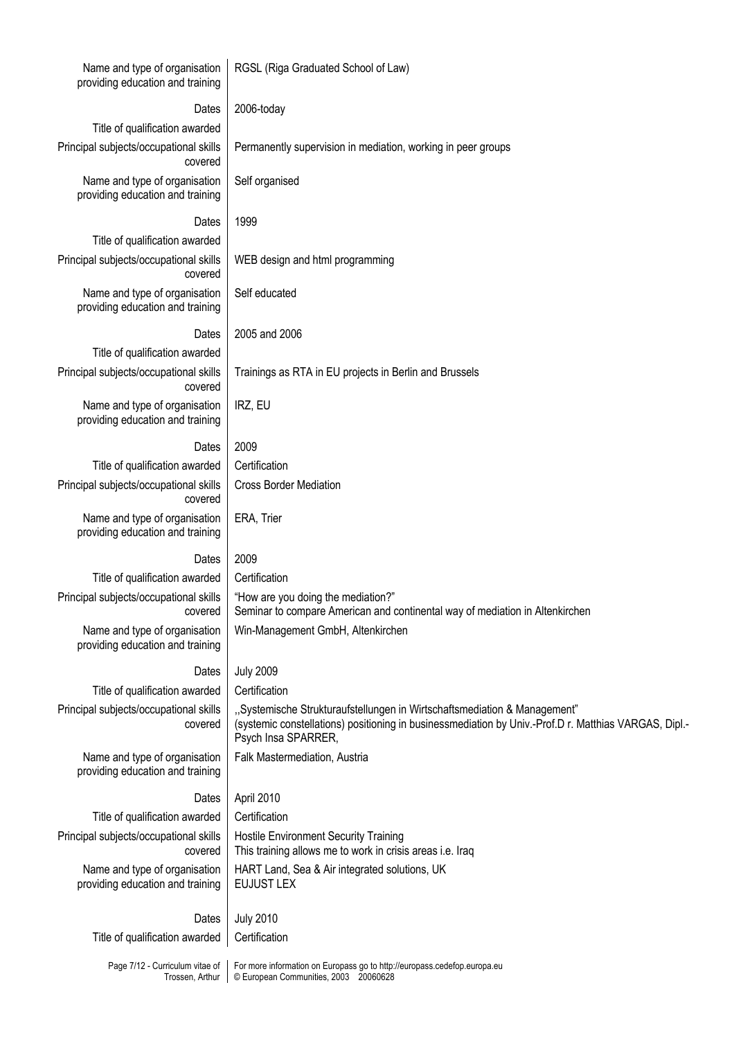| Name and type of organisation<br>providing education and training | RGSL (Riga Graduated School of Law)                                                                                                                                                                      |
|-------------------------------------------------------------------|----------------------------------------------------------------------------------------------------------------------------------------------------------------------------------------------------------|
| Dates                                                             | 2006-today                                                                                                                                                                                               |
| Title of qualification awarded                                    |                                                                                                                                                                                                          |
| Principal subjects/occupational skills<br>covered                 | Permanently supervision in mediation, working in peer groups                                                                                                                                             |
| Name and type of organisation<br>providing education and training | Self organised                                                                                                                                                                                           |
| Dates                                                             | 1999                                                                                                                                                                                                     |
| Title of qualification awarded                                    |                                                                                                                                                                                                          |
| Principal subjects/occupational skills<br>covered                 | WEB design and html programming                                                                                                                                                                          |
| Name and type of organisation<br>providing education and training | Self educated                                                                                                                                                                                            |
| Dates                                                             | 2005 and 2006                                                                                                                                                                                            |
| Title of qualification awarded                                    |                                                                                                                                                                                                          |
| Principal subjects/occupational skills<br>covered                 | Trainings as RTA in EU projects in Berlin and Brussels                                                                                                                                                   |
| Name and type of organisation<br>providing education and training | IRZ, EU                                                                                                                                                                                                  |
| Dates                                                             | 2009                                                                                                                                                                                                     |
| Title of qualification awarded                                    | Certification                                                                                                                                                                                            |
| Principal subjects/occupational skills<br>covered                 | <b>Cross Border Mediation</b>                                                                                                                                                                            |
| Name and type of organisation<br>providing education and training | ERA, Trier                                                                                                                                                                                               |
| Dates                                                             | 2009                                                                                                                                                                                                     |
| Title of qualification awarded                                    | Certification                                                                                                                                                                                            |
| Principal subjects/occupational skills<br>covered                 | "How are you doing the mediation?"<br>Seminar to compare American and continental way of mediation in Altenkirchen                                                                                       |
| Name and type of organisation<br>providing education and training | Win-Management GmbH, Altenkirchen                                                                                                                                                                        |
| Dates                                                             | <b>July 2009</b>                                                                                                                                                                                         |
| Title of qualification awarded                                    | Certification                                                                                                                                                                                            |
| Principal subjects/occupational skills<br>covered                 | "Systemische Strukturaufstellungen in Wirtschaftsmediation & Management"<br>(systemic constellations) positioning in businessmediation by Univ.-Prof.D r. Matthias VARGAS, Dipl.-<br>Psych Insa SPARRER, |
| Name and type of organisation<br>providing education and training | Falk Mastermediation, Austria                                                                                                                                                                            |
| Dates                                                             | April 2010                                                                                                                                                                                               |
| Title of qualification awarded                                    | Certification                                                                                                                                                                                            |
| Principal subjects/occupational skills<br>covered                 | <b>Hostile Environment Security Training</b><br>This training allows me to work in crisis areas i.e. Iraq                                                                                                |
| Name and type of organisation<br>providing education and training | HART Land, Sea & Air integrated solutions, UK<br><b>EUJUST LEX</b>                                                                                                                                       |
| Dates                                                             | <b>July 2010</b>                                                                                                                                                                                         |
| Title of qualification awarded                                    | Certification                                                                                                                                                                                            |
| Page 7/12 - Curriculum vitae of                                   | For more information on Europass go to http://europass.cedefop.europa.eu                                                                                                                                 |

Trossen, Arthur

© European Communities, 2003 20060628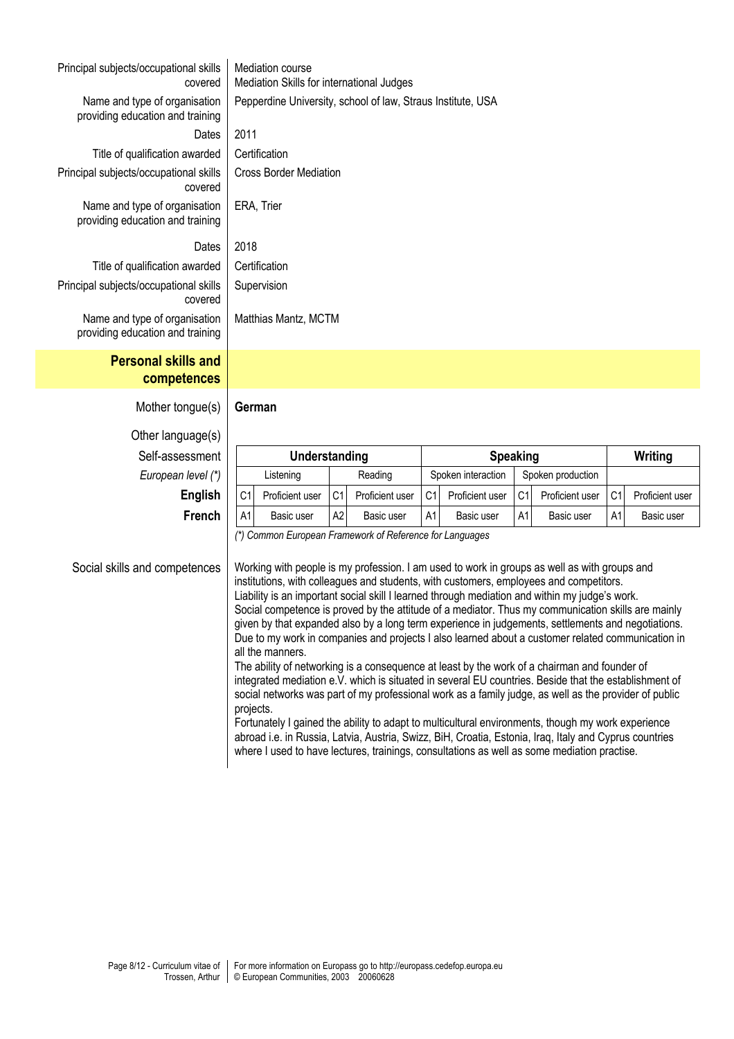| Principal subjects/occupational skills<br>covered                 |                               | <b>Mediation course</b><br>Mediation Skills for international Judges |         |                   |
|-------------------------------------------------------------------|-------------------------------|----------------------------------------------------------------------|---------|-------------------|
| Name and type of organisation<br>providing education and training |                               | Pepperdine University, school of law, Straus Institute, USA          |         |                   |
| Dates                                                             |                               | 2011                                                                 |         |                   |
| Title of qualification awarded                                    |                               | Certification                                                        |         |                   |
| Principal subjects/occupational skills<br>covered                 | <b>Cross Border Mediation</b> |                                                                      |         |                   |
| Name and type of organisation<br>providing education and training |                               | ERA, Trier                                                           |         |                   |
| Dates                                                             |                               | 2018                                                                 |         |                   |
| Title of qualification awarded                                    |                               | Certification                                                        |         |                   |
| Principal subjects/occupational skills<br>covered                 | Supervision                   |                                                                      |         |                   |
| Name and type of organisation<br>providing education and training |                               | Matthias Mantz, MCTM                                                 |         |                   |
| <b>Personal skills and</b><br>competences                         |                               |                                                                      |         |                   |
| Mother tongue(s)                                                  |                               | German                                                               |         |                   |
| Other language(s)                                                 |                               |                                                                      |         |                   |
| Self-assessment                                                   |                               | Understanding                                                        |         | $S_{I}$           |
| European level (*)                                                |                               | Listening                                                            | Reading | Spoken interactic |
|                                                                   |                               |                                                                      |         |                   |

| Self-assessment    | Understanding  |                 |                |                 | <b>Speaking</b>    |                 |                   |                 |    | Writing         |
|--------------------|----------------|-----------------|----------------|-----------------|--------------------|-----------------|-------------------|-----------------|----|-----------------|
| European level (*) |                | Listening       |                | Reading         | Spoken interaction |                 | Spoken production |                 |    |                 |
| <b>English</b>     | C <sub>1</sub> | Proficient user | C <sub>1</sub> | Proficient user | C <sub>1</sub>     | Proficient user | C <sub>1</sub>    | Proficient user | C1 | Proficient user |
| <b>French</b>      | A1             | Basic user      | A2             | Basic user      | A1                 | Basic user      | A1                | Basic user      | A1 | Basic user      |

*(\*) Common European Framework of Reference for Languages*

Social skills and competences | Working with people is my profession. I am used to work in groups as well as with groups and institutions, with colleagues and students, with customers, employees and competitors. Liability is an important social skill I learned through mediation and within my judge's work. Social competence is proved by the attitude of a mediator. Thus my communication skills are mainly given by that expanded also by a long term experience in judgements, settlements and negotiations. Due to my work in companies and projects I also learned about a customer related communication in all the manners.

The ability of networking is a consequence at least by the work of a chairman and founder of integrated mediation e.V. which is situated in several EU countries. Beside that the establishment of social networks was part of my professional work as a family judge, as well as the provider of public projects.

Fortunately I gained the ability to adapt to multicultural environments, though my work experience abroad i.e. in Russia, Latvia, Austria, Swizz, BiH, Croatia, Estonia, Iraq, Italy and Cyprus countries where I used to have lectures, trainings, consultations as well as some mediation practise.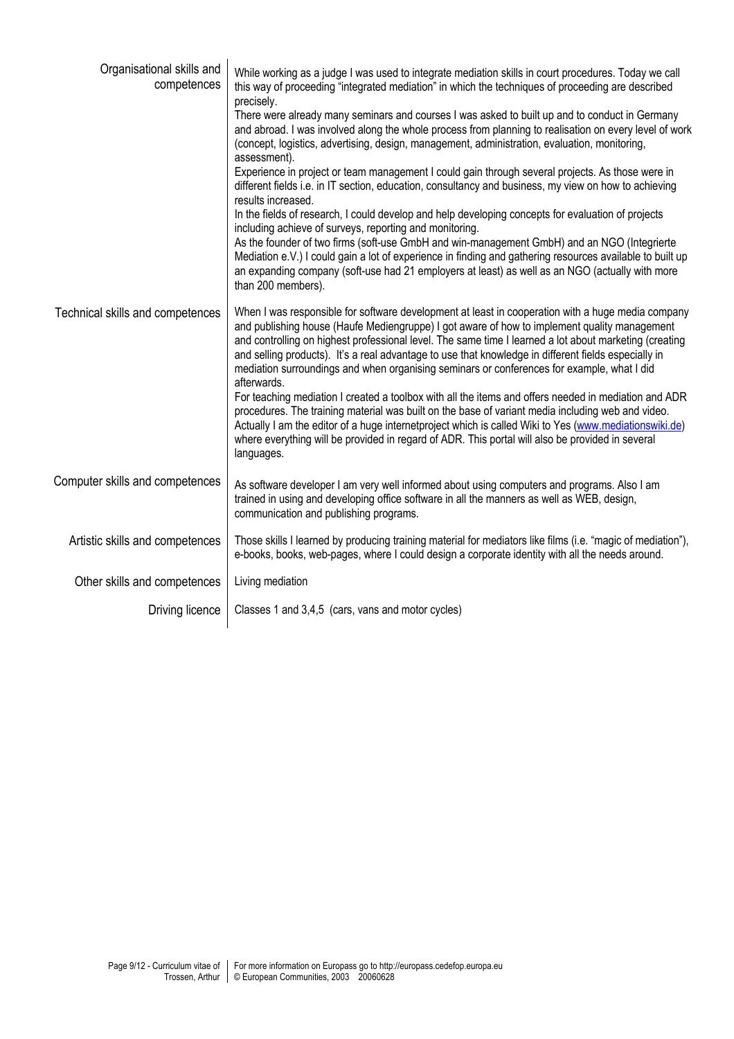| Organisational skills and<br>competences | While working as a judge I was used to integrate mediation skills in court procedures. Today we call<br>this way of proceeding "integrated mediation" in which the techniques of proceeding are described<br>precisely.<br>There were already many seminars and courses I was asked to built up and to conduct in Germany<br>and abroad. I was involved along the whole process from planning to realisation on every level of work<br>(concept, logistics, advertising, design, management, administration, evaluation, monitoring,<br>assessment).<br>Experience in project or team management I could gain through several projects. As those were in<br>different fields i.e. in IT section, education, consultancy and business, my view on how to achieving<br>results increased.<br>In the fields of research, I could develop and help developing concepts for evaluation of projects<br>including achieve of surveys, reporting and monitoring.<br>As the founder of two firms (soft-use GmbH and win-management GmbH) and an NGO (Integrierte<br>Mediation e.V.) I could gain a lot of experience in finding and gathering resources available to built up<br>an expanding company (soft-use had 21 employers at least) as well as an NGO (actually with more<br>than 200 members). |
|------------------------------------------|-----------------------------------------------------------------------------------------------------------------------------------------------------------------------------------------------------------------------------------------------------------------------------------------------------------------------------------------------------------------------------------------------------------------------------------------------------------------------------------------------------------------------------------------------------------------------------------------------------------------------------------------------------------------------------------------------------------------------------------------------------------------------------------------------------------------------------------------------------------------------------------------------------------------------------------------------------------------------------------------------------------------------------------------------------------------------------------------------------------------------------------------------------------------------------------------------------------------------------------------------------------------------------------------------|
| Technical skills and competences         | When I was responsible for software development at least in cooperation with a huge media company<br>and publishing house (Haufe Mediengruppe) I got aware of how to implement quality management<br>and controlling on highest professional level. The same time I learned a lot about marketing (creating<br>and selling products). It's a real advantage to use that knowledge in different fields especially in<br>mediation surroundings and when organising seminars or conferences for example, what I did<br>afterwards.<br>For teaching mediation I created a toolbox with all the items and offers needed in mediation and ADR<br>procedures. The training material was built on the base of variant media including web and video.<br>Actually I am the editor of a huge internetproject which is called Wiki to Yes (www.mediationswiki.de)<br>where everything will be provided in regard of ADR. This portal will also be provided in several<br>languages.                                                                                                                                                                                                                                                                                                                     |
| Computer skills and competences          | As software developer I am very well informed about using computers and programs. Also I am<br>trained in using and developing office software in all the manners as well as WEB, design,<br>communication and publishing programs.                                                                                                                                                                                                                                                                                                                                                                                                                                                                                                                                                                                                                                                                                                                                                                                                                                                                                                                                                                                                                                                           |
| Artistic skills and competences          | Those skills I learned by producing training material for mediators like films (i.e. "magic of mediation"),<br>e-books, books, web-pages, where I could design a corporate identity with all the needs around.                                                                                                                                                                                                                                                                                                                                                                                                                                                                                                                                                                                                                                                                                                                                                                                                                                                                                                                                                                                                                                                                                |
| Other skills and competences             | Living mediation                                                                                                                                                                                                                                                                                                                                                                                                                                                                                                                                                                                                                                                                                                                                                                                                                                                                                                                                                                                                                                                                                                                                                                                                                                                                              |
| Driving licence                          | Classes 1 and 3,4,5 (cars, vans and motor cycles)                                                                                                                                                                                                                                                                                                                                                                                                                                                                                                                                                                                                                                                                                                                                                                                                                                                                                                                                                                                                                                                                                                                                                                                                                                             |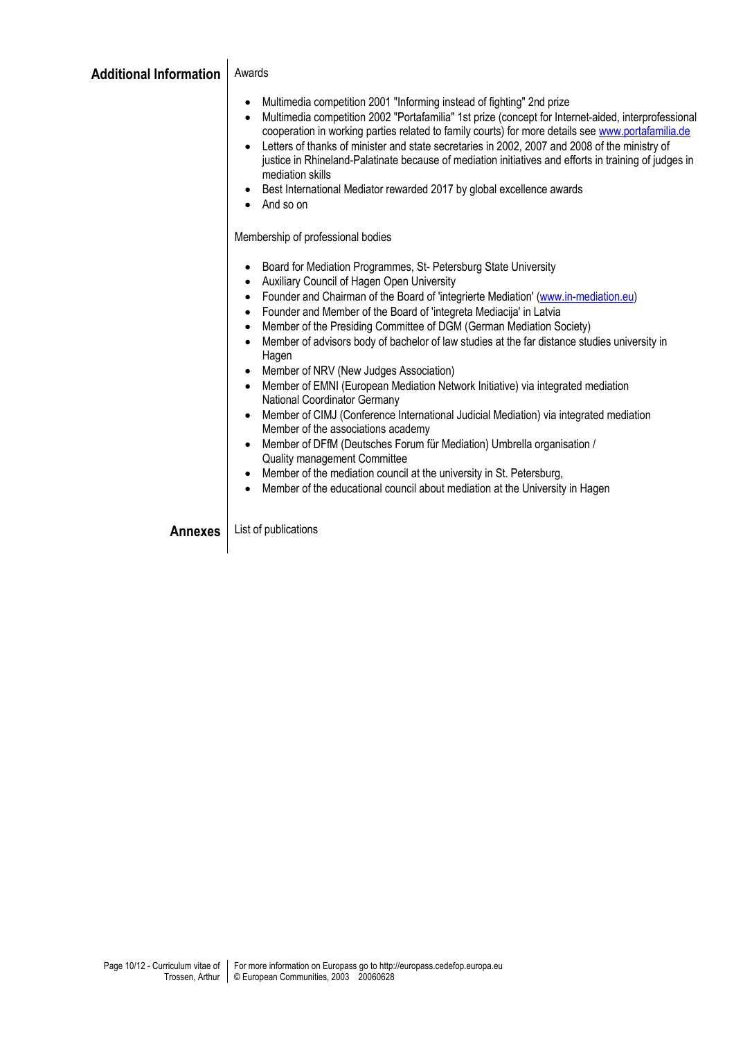| Additional Information   Awards |  |
|---------------------------------|--|
|---------------------------------|--|

 $\overline{\phantom{a}}$ 

- Multimedia competition 2001 "Informing instead of fighting" 2nd prize
- Multimedia competition 2002 "Portafamilia" 1st prize (concept for Internet-aided, interprofessional cooperation in working parties related to family courts) for more details see www.portafamilia.de
- Letters of thanks of minister and state secretaries in 2002, 2007 and 2008 of the ministry of justice in Rhineland-Palatinate because of mediation initiatives and efforts in training of judges in mediation skills
- Best International Mediator rewarded 2017 by global excellence awards
- And so on

Membership of professional bodies

- Board for Mediation Programmes, St- Petersburg State University
- Auxiliary Council of Hagen Open University
- Founder and Chairman of the Board of 'integrierte Mediation' (www.in-mediation.eu)
- Founder and Member of the Board of 'integreta Mediacija' in Latvia
- Member of the Presiding Committee of DGM (German Mediation Society)
- Member of advisors body of bachelor of law studies at the far distance studies university in Hagen
- Member of NRV (New Judges Association)
- Member of EMNI (European Mediation Network Initiative) via integrated mediation National Coordinator Germany
- Member of CIMJ (Conference International Judicial Mediation) via integrated mediation Member of the associations academy
- Member of DFfM (Deutsches Forum für Mediation) Umbrella organisation / Quality management Committee
- Member of the mediation council at the university in St. Petersburg,
- Member of the educational council about mediation at the University in Hagen

**Annexes** List of publications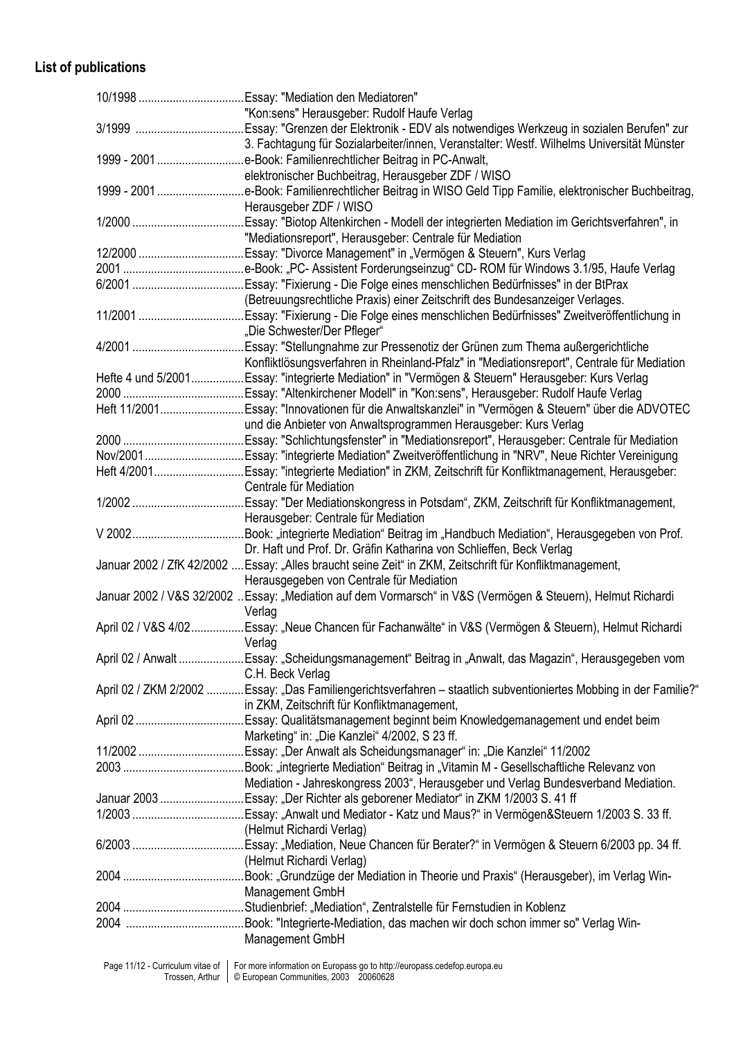## **List of publications**

| "Kon:sens" Herausgeber: Rudolf Haufe Verlag                                                                       |
|-------------------------------------------------------------------------------------------------------------------|
|                                                                                                                   |
| 3. Fachtagung für Sozialarbeiter/innen, Veranstalter: Westf. Wilhelms Universität Münster                         |
| 1999 - 2001 e-Book: Familienrechtlicher Beitrag in PC-Anwalt,                                                     |
| elektronischer Buchbeitrag, Herausgeber ZDF / WISO                                                                |
| 1999 - 2001 e-Book: Familienrechtlicher Beitrag in WISO Geld Tipp Familie, elektronischer Buchbeitrag,            |
| Herausgeber ZDF / WISO                                                                                            |
|                                                                                                                   |
| "Mediationsreport", Herausgeber: Centrale für Mediation                                                           |
|                                                                                                                   |
|                                                                                                                   |
|                                                                                                                   |
|                                                                                                                   |
| (Betreuungsrechtliche Praxis) einer Zeitschrift des Bundesanzeiger Verlages.                                      |
| 11/2001 Essay: "Fixierung - Die Folge eines menschlichen Bedürfnisses" Zweitveröffentlichung in                   |
| "Die Schwester/Der Pfleger"                                                                                       |
|                                                                                                                   |
| Konfliktlösungsverfahren in Rheinland-Pfalz" in "Mediationsreport", Centrale für Mediation                        |
| Hefte 4 und 5/2001Essay: "integrierte Mediation" in "Vermögen & Steuern" Herausgeber: Kurs Verlag                 |
|                                                                                                                   |
| Heft 11/2001Essay: "Innovationen für die Anwaltskanzlei" in "Vermögen & Steuern" über die ADVOTEC                 |
| und die Anbieter von Anwaltsprogrammen Herausgeber: Kurs Verlag                                                   |
|                                                                                                                   |
| Nov/2001Essay: "integrierte Mediation" Zweitveröffentlichung in "NRV", Neue Richter Vereinigung                   |
| Heft 4/2001Essay: "integrierte Mediation" in ZKM, Zeitschrift für Konfliktmanagement, Herausgeber:                |
| Centrale für Mediation                                                                                            |
|                                                                                                                   |
| Herausgeber: Centrale für Mediation                                                                               |
| . Book: "integrierte Mediation" Beitrag im "Handbuch Mediation", Herausgegeben von Prof.                          |
| Dr. Haft und Prof. Dr. Gräfin Katharina von Schlieffen, Beck Verlag                                               |
| Januar 2002 / ZfK 42/2002  Essay: "Alles braucht seine Zeit" in ZKM, Zeitschrift für Konfliktmanagement,          |
| Herausgegeben von Centrale für Mediation                                                                          |
| Januar 2002 / V&S 32/2002 Essay: "Mediation auf dem Vormarsch" in V&S (Vermögen & Steuern), Helmut Richardi       |
| Verlag                                                                                                            |
| April 02 / V&S 4/02Essay: "Neue Chancen für Fachanwälte" in V&S (Vermögen & Steuern), Helmut Richardi             |
| Verlag                                                                                                            |
|                                                                                                                   |
| April 02 / Anwalt Essay: "Scheidungsmanagement" Beitrag in "Anwalt, das Magazin", Herausgegeben vom               |
| C.H. Beck Verlag                                                                                                  |
| April 02 / ZKM 2/2002 Essay: "Das Familiengerichtsverfahren - staatlich subventioniertes Mobbing in der Familie?" |
| in ZKM, Zeitschrift für Konfliktmanagement,                                                                       |
|                                                                                                                   |
| Marketing" in: "Die Kanzlei" 4/2002, S 23 ff.                                                                     |
|                                                                                                                   |
|                                                                                                                   |
| Mediation - Jahreskongress 2003", Herausgeber und Verlag Bundesverband Mediation.                                 |
| Januar 2003 Essay: "Der Richter als geborener Mediator" in ZKM 1/2003 S. 41 ff                                    |
|                                                                                                                   |
| (Helmut Richardi Verlag)                                                                                          |
|                                                                                                                   |
| (Helmut Richardi Verlag)                                                                                          |
|                                                                                                                   |
| Management GmbH                                                                                                   |
|                                                                                                                   |
|                                                                                                                   |
| Management GmbH                                                                                                   |
|                                                                                                                   |
|                                                                                                                   |

Page 11/12 - Curriculum vitae of Trossen, Arthur For more information on Europass go to http://europass.cedefop.europa.eu © European Communities, 2003 20060628